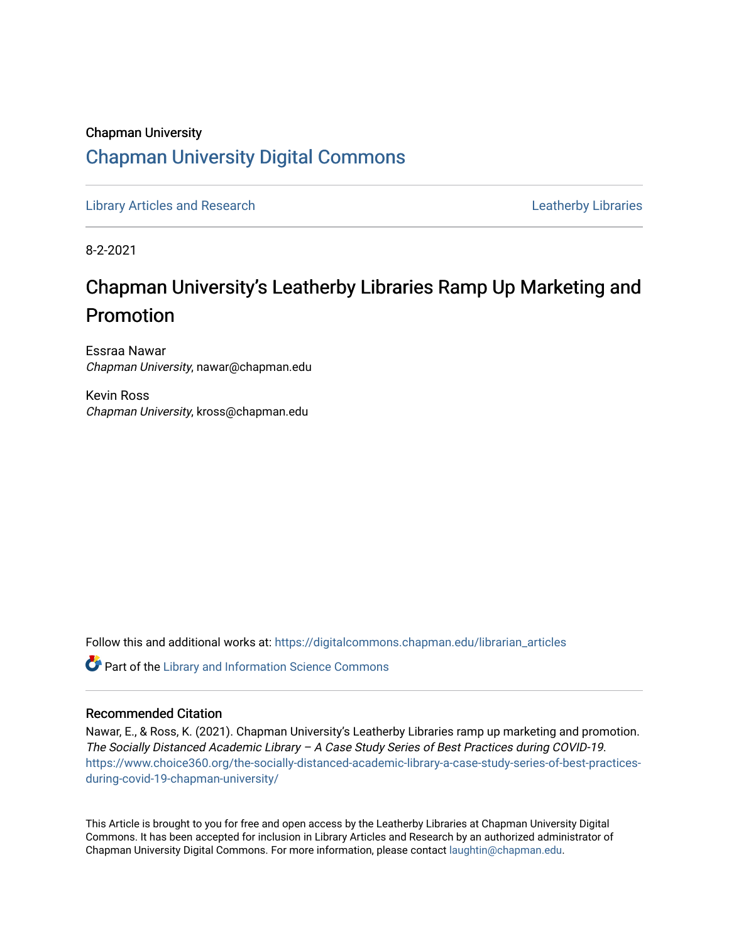## Chapman University [Chapman University Digital Commons](https://digitalcommons.chapman.edu/)

[Library Articles and Research](https://digitalcommons.chapman.edu/librarian_articles) **Leatherby Libraries** Leatherby Libraries

8-2-2021

# Chapman University's Leatherby Libraries Ramp Up Marketing and Promotion

Essraa Nawar Chapman University, nawar@chapman.edu

Kevin Ross Chapman University, kross@chapman.edu

Follow this and additional works at: [https://digitalcommons.chapman.edu/librarian\\_articles](https://digitalcommons.chapman.edu/librarian_articles?utm_source=digitalcommons.chapman.edu%2Flibrarian_articles%2F28&utm_medium=PDF&utm_campaign=PDFCoverPages) 

Part of the [Library and Information Science Commons](http://network.bepress.com/hgg/discipline/1018?utm_source=digitalcommons.chapman.edu%2Flibrarian_articles%2F28&utm_medium=PDF&utm_campaign=PDFCoverPages) 

#### Recommended Citation

Nawar, E., & Ross, K. (2021). Chapman University's Leatherby Libraries ramp up marketing and promotion. The Socially Distanced Academic Library – A Case Study Series of Best Practices during COVID-19. [https://www.choice360.org/the-socially-distanced-academic-library-a-case-study-series-of-best-practices](https://www.choice360.org/the-socially-distanced-academic-library-a-case-study-series-of-best-practices-during-covid-19-chapman-university/)[during-covid-19-chapman-university/](https://www.choice360.org/the-socially-distanced-academic-library-a-case-study-series-of-best-practices-during-covid-19-chapman-university/)

This Article is brought to you for free and open access by the Leatherby Libraries at Chapman University Digital Commons. It has been accepted for inclusion in Library Articles and Research by an authorized administrator of Chapman University Digital Commons. For more information, please contact [laughtin@chapman.edu](mailto:laughtin@chapman.edu).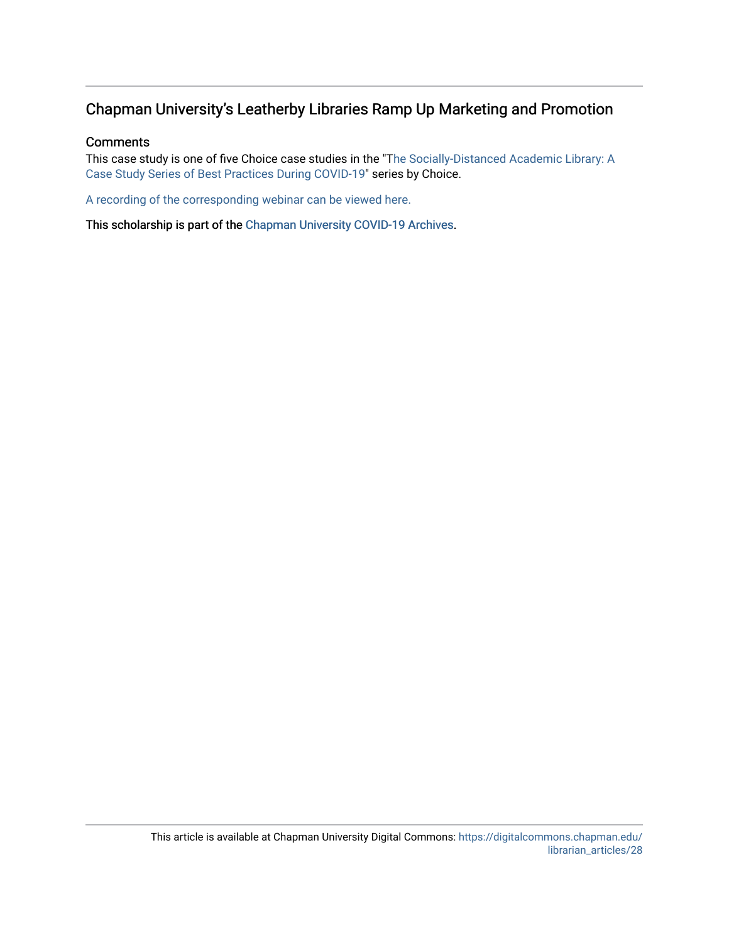### Chapman University's Leatherby Libraries Ramp Up Marketing and Promotion

#### **Comments**

This case study is one of five Choice case studies in the "T[he Socially-Distanced Academic Library: A](https://www.choice360.org/blog-post/the-socially-distanced-academic-library-a-case-study-series/)  [Case Study Series of Best Practices During COVID-19"](https://www.choice360.org/blog-post/the-socially-distanced-academic-library-a-case-study-series/) series by Choice.

[A recording of the corresponding webinar can be viewed here.](https://digitalcommons.chapman.edu/library_presentations/33)

This scholarship is part of the [Chapman University COVID-19 Archives](https://digitalcommons.chapman.edu/covid-19_archives/).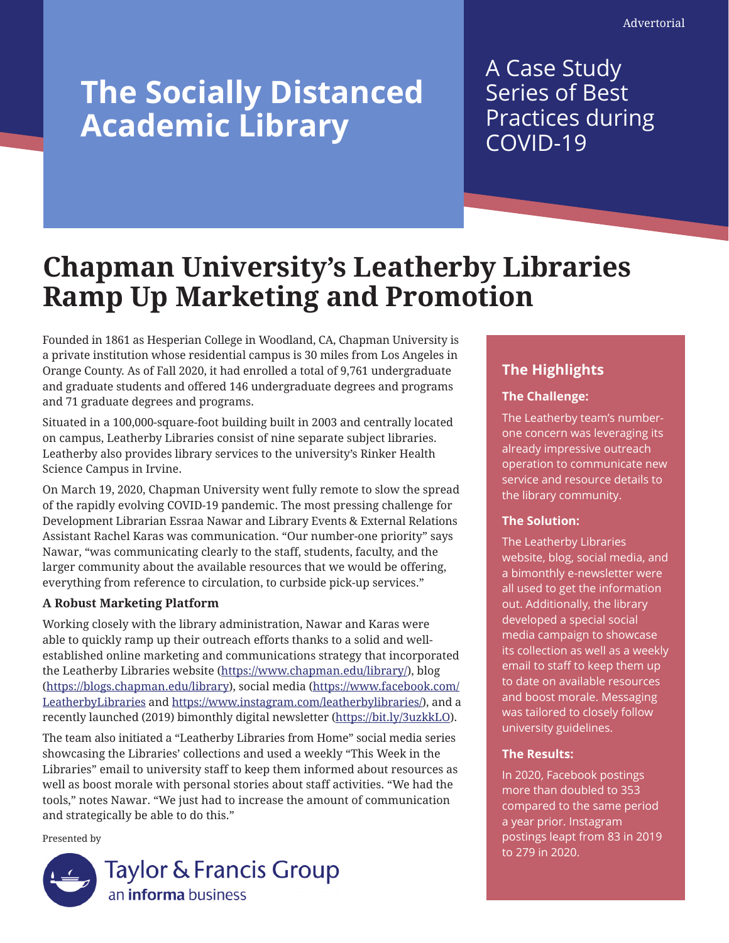# **The Socially Distanced Academic Library**

## A Case Study Series of Best Practices during COVID-19

# **Chapman University's Leatherby Libraries Ramp Up Marketing and Promotion**

Founded in 1861 as Hesperian College in Woodland, CA, Chapman University is a private institution whose residential campus is 30 miles from Los Angeles in Orange County. As of Fall 2020, it had enrolled a total of 9,761 undergraduate and graduate students and offered 146 undergraduate degrees and programs and 71 graduate degrees and programs.

Situated in a 100,000-square-foot building built in 2003 and centrally located on campus, Leatherby Libraries consist of nine separate subject libraries. Leatherby also provides library services to the university's Rinker Health Science Campus in Irvine.

On March 19, 2020, Chapman University went fully remote to slow the spread of the rapidly evolving COVID-19 pandemic. The most pressing challenge for Development Librarian Essraa Nawar and Library Events & External Relations Assistant Rachel Karas was communication. "Our number-one priority" says Nawar, "was communicating clearly to the staff, students, faculty, and the larger community about the available resources that we would be offering, everything from reference to circulation, to curbside pick-up services."

#### **A Robust Marketing Platform**

Working closely with the library administration, Nawar and Karas were able to quickly ramp up their outreach efforts thanks to a solid and wellestablished online marketing and communications strategy that incorporated the Leatherby Libraries website (<https://www.chapman.edu/library/>), blog (<https://blogs.chapman.edu/library>), social media ([https://www.facebook.com/](https://www.facebook.com/LeatherbyLibraries) [LeatherbyLibraries](https://www.facebook.com/LeatherbyLibraries) and [https://www.instagram.com/leatherbylibraries/\)](https://www.instagram.com/leatherbylibraries/), and a recently launched (2019) bimonthly digital newsletter (<https://bit.ly/3uzkkLO>).

The team also initiated a "Leatherby Libraries from Home" social media series showcasing the Libraries' collections and used a weekly "This Week in the Libraries" email to university staff to keep them informed about resources as well as boost morale with personal stories about staff activities. "We had the tools," notes Nawar. "We just had to increase the amount of communication and strategically be able to do this."

Presented by



## **The Highlights**

#### **The Challenge:**

The Leatherby team's numberone concern was leveraging its already impressive outreach operation to communicate new service and resource details to the library community.

#### **The Solution:**

The Leatherby Libraries website, blog, social media, and a bimonthly e-newsletter were all used to get the information out. Additionally, the library developed a special social media campaign to showcase its collection as well as a weekly email to staff to keep them up to date on available resources and boost morale. Messaging was tailored to closely follow university guidelines.

#### **The Results:**

In 2020, Facebook postings more than doubled to 353 compared to the same period a year prior. Instagram postings leapt from 83 in 2019 to 279 in 2020.